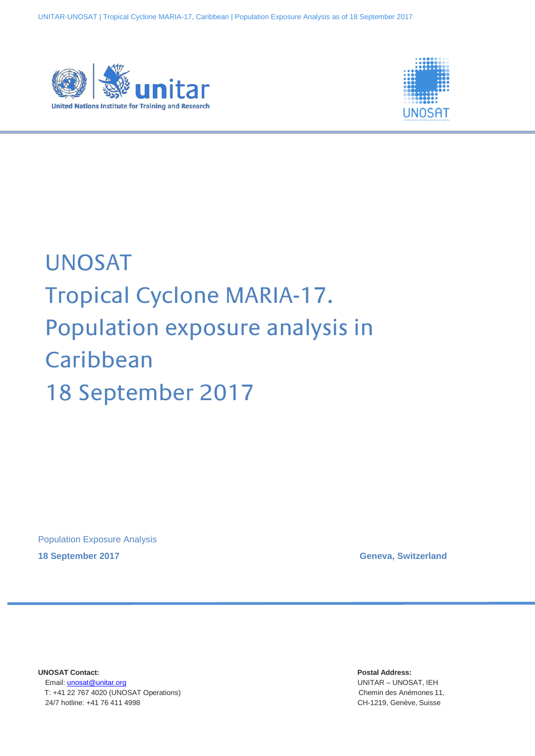



# UNOSAT Tropical Cyclone MARIA-17. Population exposure analysis in **Caribbean** 18 September 2017

Population Exposure Analysis

**18 September 2017 Geneva, Switzerland**

**UNOSAT Contact: Postal Address:** Email: [unosat@unitar.org](mailto:unosat@unitar.org) UNITAR – UNOSAT, IEH T: +41 22 767 4020 (UNOSAT Operations) Chemin des Anémones 11, 24/7 hotline: +41 76 411 4998 CH-1219, Genève, Suisse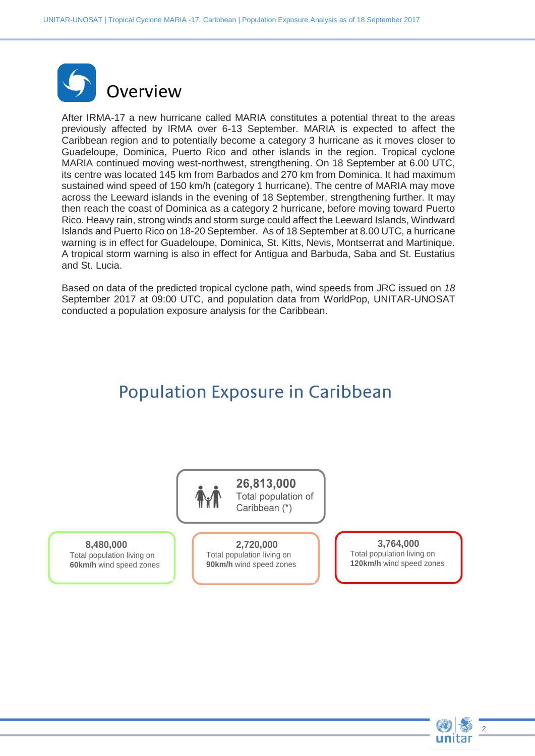

After IRMA-17 a new hurricane called MARIA constitutes a potential threat to the areas previously affected by IRMA over 6-13 September. MARIA is expected to affect the Caribbean region and to potentially become a category 3 hurricane as it moves closer to Guadeloupe, Dominica, Puerto Rico and other islands in the region. Tropical cyclone MARIA continued moving west-northwest, strengthening. On 18 September at 6.00 UTC, its centre was located 145 km from Barbados and 270 km from Dominica. It had maximum sustained wind speed of 150 km/h (category 1 hurricane). The centre of MARIA may move across the Leeward islands in the evening of 18 September, strengthening further. It may then reach the coast of Dominica as a category 2 hurricane, before moving toward Puerto Rico. Heavy rain, strong winds and storm surge could affect the Leeward Islands, Windward Islands and Puerto Rico on 18-20 September. As of 18 September at 8.00 UTC, a hurricane warning is in effect for Guadeloupe, Dominica, St. Kitts, Nevis, Montserrat and Martinique. A tropical storm warning is also in effect for Antigua and Barbuda, Saba and St. Eustatius and St. Lucia.

Based on data of the predicted tropical cyclone path, wind speeds from JRC issued on *18* September 2017 at 09:00 UTC, and population data from WorldPop, UNITAR-UNOSAT conducted a population exposure analysis for the Caribbean.

# Population Exposure in Caribbean



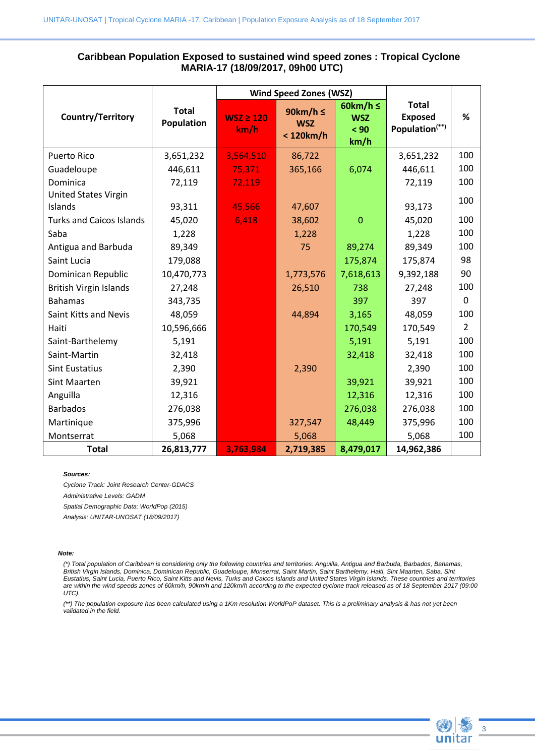## **Caribbean Population Exposed to sustained wind speed zones : Tropical Cyclone MARIA-17 (18/09/2017, 09h00 UTC)**

|                                 |                            | <b>Wind Speed Zones (WSZ)</b> |                                         |                                             |                                                              |                |
|---------------------------------|----------------------------|-------------------------------|-----------------------------------------|---------------------------------------------|--------------------------------------------------------------|----------------|
| Country/Territory               | <b>Total</b><br>Population | $WSZ \ge 120$<br>km/h         | 90km/h $\leq$<br><b>WSZ</b><br><120km/h | 60km/h $\leq$<br><b>WSZ</b><br>< 90<br>km/h | <b>Total</b><br><b>Exposed</b><br>Population <sup>(**)</sup> | %              |
| <b>Puerto Rico</b>              | 3,651,232                  | 3,564,510                     | 86,722                                  |                                             | 3,651,232                                                    | 100            |
| Guadeloupe                      | 446,611                    | 75,371                        | 365,166                                 | 6,074                                       | 446,611                                                      | 100            |
| Dominica                        | 72,119                     | 72,119                        |                                         |                                             | 72,119                                                       | 100            |
| <b>United States Virgin</b>     |                            |                               |                                         |                                             |                                                              | 100            |
| Islands                         | 93,311                     | 45,566                        | 47,607                                  |                                             | 93,173                                                       |                |
| <b>Turks and Caicos Islands</b> | 45,020                     | 6,418                         | 38,602                                  | $\overline{0}$                              | 45,020                                                       | 100            |
| Saba                            | 1,228                      |                               | 1,228                                   |                                             | 1,228                                                        | 100            |
| Antigua and Barbuda             | 89,349                     |                               | 75                                      | 89,274                                      | 89,349                                                       | 100            |
| Saint Lucia                     | 179,088                    |                               |                                         | 175,874                                     | 175,874                                                      | 98             |
| Dominican Republic              | 10,470,773                 |                               | 1,773,576                               | 7,618,613                                   | 9,392,188                                                    | 90             |
| <b>British Virgin Islands</b>   | 27,248                     |                               | 26,510                                  | 738                                         | 27,248                                                       | 100            |
| <b>Bahamas</b>                  | 343,735                    |                               |                                         | 397                                         | 397                                                          | $\Omega$       |
| Saint Kitts and Nevis           | 48,059                     |                               | 44,894                                  | 3,165                                       | 48,059                                                       | 100            |
| Haiti                           | 10,596,666                 |                               |                                         | 170,549                                     | 170,549                                                      | $\overline{2}$ |
| Saint-Barthelemy                | 5,191                      |                               |                                         | 5,191                                       | 5,191                                                        | 100            |
| Saint-Martin                    | 32,418                     |                               |                                         | 32,418                                      | 32,418                                                       | 100            |
| <b>Sint Eustatius</b>           | 2,390                      |                               | 2,390                                   |                                             | 2,390                                                        | 100            |
| Sint Maarten                    | 39,921                     |                               |                                         | 39,921                                      | 39,921                                                       | 100            |
| Anguilla                        | 12,316                     |                               |                                         | 12,316                                      | 12,316                                                       | 100            |
| <b>Barbados</b>                 | 276,038                    |                               |                                         | 276,038                                     | 276,038                                                      | 100            |
| Martinique                      | 375,996                    |                               | 327,547                                 | 48,449                                      | 375,996                                                      | 100            |
| Montserrat                      | 5,068                      |                               | 5,068                                   |                                             | 5,068                                                        | 100            |
| <b>Total</b>                    | 26,813,777                 | 3,763,984                     | 2,719,385                               | 8,479,017                                   | 14,962,386                                                   |                |

#### *Sources:*

*Cyclone Track: Joint Research Center-GDACS*

*Administrative Levels: GADM*

*Spatial Demographic Data: WorldPop (2015)*

*Analysis: UNITAR-UNOSAT (18/09/2017)*

### *Note:*

*(\*) Total population of Caribbean is considering only the following countries and territories: Anguilla, Antigua and Barbuda, Barbados, Bahamas, British Virgin Islands, Dominica, Dominican Republic, Guadeloupe, Monserrat, Saint Martin, Saint Barthelemy, Haiti, Sint Maarten, Saba, Sint Eustatius, Saint Lucia, Puerto Rico, Saint Kitts and Nevis, Turks and Caicos Islands and United States Virgin Islands. These countries and territories are within the wind speeds zones of 60km/h, 90km/h and 120km/h according to the expected cyclone track released as of 18 September 2017 (09:00 UTC).*

*(\*\*) The population exposure has been calculated using a 1Km resolution WorldPoP dataset. This is a preliminary analysis & has not yet been validated in the field.*